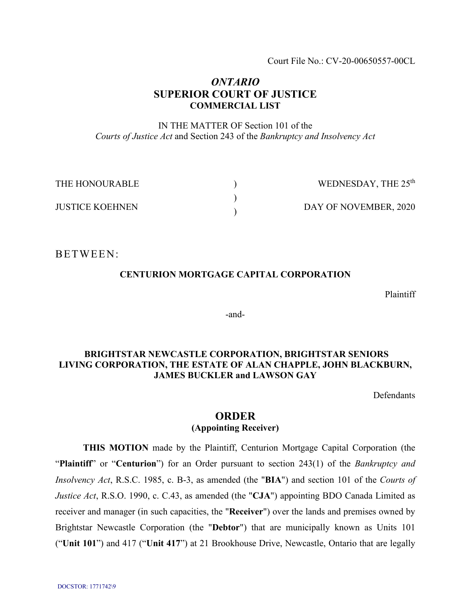Court File No.: CV-20-00650557-00CL

# *ONTARIO* **SUPERIOR COURT OF JUSTICE COMMERCIAL LIST**

IN THE MATTER OF Section 101 of the *Courts of Justice Act* and Section 243 of the *Bankruptcy and Insolvency Act*

| THE HONOURABLE         | WEDNESDAY, THE 25 <sup>th</sup> |
|------------------------|---------------------------------|
| <b>JUSTICE KOEHNEN</b> | DAY OF NOVEMBER, 2020           |

BETWEEN:

## **CENTURION MORTGAGE CAPITAL CORPORATION**

Plaintiff

-and-

# **BRIGHTSTAR NEWCASTLE CORPORATION, BRIGHTSTAR SENIORS LIVING CORPORATION, THE ESTATE OF ALAN CHAPPLE, JOHN BLACKBURN, JAMES BUCKLER and LAWSON GAY**

Defendants

# **ORDER (Appointing Receiver)**

**THIS MOTION** made by the Plaintiff, Centurion Mortgage Capital Corporation (the "**Plaintiff**" or "**Centurion**") for an Order pursuant to section 243(1) of the *Bankruptcy and Insolvency Act*, R.S.C. 1985, c. B-3, as amended (the "**BIA**") and section 101 of the *Courts of Justice Act*, R.S.O. 1990, c. C.43, as amended (the "**CJA**") appointing BDO Canada Limited as receiver and manager (in such capacities, the "**Receiver**") over the lands and premises owned by Brightstar Newcastle Corporation (the "**Debtor**") that are municipally known as Units 101 ("**Unit 101**") and 417 ("**Unit 417**") at 21 Brookhouse Drive, Newcastle, Ontario that are legally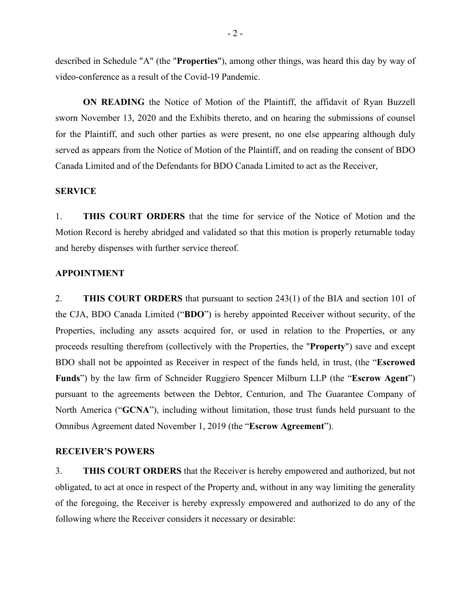described in Schedule "A" (the "**Properties**"), among other things, was heard this day by way of video-conference as a result of the Covid-19 Pandemic.

**ON READING** the Notice of Motion of the Plaintiff, the affidavit of Ryan Buzzell sworn November 13, 2020 and the Exhibits thereto, and on hearing the submissions of counsel for the Plaintiff, and such other parties as were present, no one else appearing although duly served as appears from the Notice of Motion of the Plaintiff, and on reading the consent of BDO Canada Limited and of the Defendants for BDO Canada Limited to act as the Receiver,

# **SERVICE**

1. **THIS COURT ORDERS** that the time for service of the Notice of Motion and the Motion Record is hereby abridged and validated so that this motion is properly returnable today and hereby dispenses with further service thereof.

## **APPOINTMENT**

2. **THIS COURT ORDERS** that pursuant to section 243(1) of the BIA and section 101 of the CJA, BDO Canada Limited ("**BDO**") is hereby appointed Receiver without security, of the Properties, including any assets acquired for, or used in relation to the Properties, or any proceeds resulting therefrom (collectively with the Properties, the "**Property**") save and except BDO shall not be appointed as Receiver in respect of the funds held, in trust, (the "**Escrowed Funds**") by the law firm of Schneider Ruggiero Spencer Milburn LLP (the "**Escrow Agent**") pursuant to the agreements between the Debtor, Centurion, and The Guarantee Company of North America ("**GCNA**"), including without limitation, those trust funds held pursuant to the Omnibus Agreement dated November 1, 2019 (the "**Escrow Agreement**").

## **RECEIVER'S POWERS**

3. **THIS COURT ORDERS** that the Receiver is hereby empowered and authorized, but not obligated, to act at once in respect of the Property and, without in any way limiting the generality of the foregoing, the Receiver is hereby expressly empowered and authorized to do any of the following where the Receiver considers it necessary or desirable: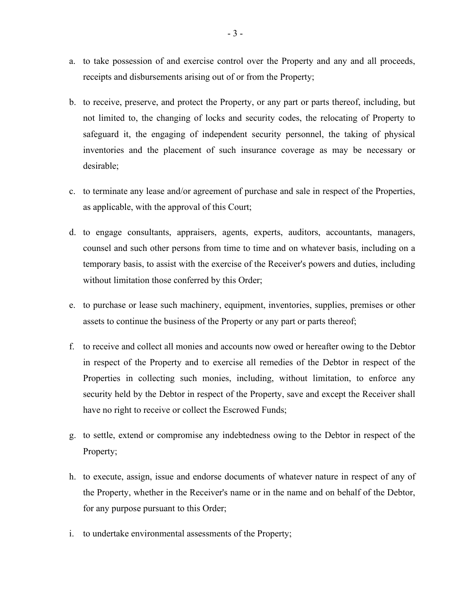- a. to take possession of and exercise control over the Property and any and all proceeds, receipts and disbursements arising out of or from the Property;
- b. to receive, preserve, and protect the Property, or any part or parts thereof, including, but not limited to, the changing of locks and security codes, the relocating of Property to safeguard it, the engaging of independent security personnel, the taking of physical inventories and the placement of such insurance coverage as may be necessary or desirable;
- c. to terminate any lease and/or agreement of purchase and sale in respect of the Properties, as applicable, with the approval of this Court;
- d. to engage consultants, appraisers, agents, experts, auditors, accountants, managers, counsel and such other persons from time to time and on whatever basis, including on a temporary basis, to assist with the exercise of the Receiver's powers and duties, including without limitation those conferred by this Order;
- e. to purchase or lease such machinery, equipment, inventories, supplies, premises or other assets to continue the business of the Property or any part or parts thereof;
- f. to receive and collect all monies and accounts now owed or hereafter owing to the Debtor in respect of the Property and to exercise all remedies of the Debtor in respect of the Properties in collecting such monies, including, without limitation, to enforce any security held by the Debtor in respect of the Property, save and except the Receiver shall have no right to receive or collect the Escrowed Funds;
- g. to settle, extend or compromise any indebtedness owing to the Debtor in respect of the Property;
- h. to execute, assign, issue and endorse documents of whatever nature in respect of any of the Property, whether in the Receiver's name or in the name and on behalf of the Debtor, for any purpose pursuant to this Order;
- i. to undertake environmental assessments of the Property;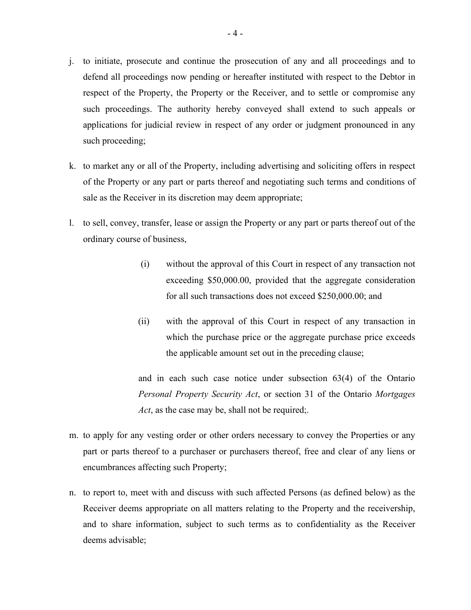- j. to initiate, prosecute and continue the prosecution of any and all proceedings and to defend all proceedings now pending or hereafter instituted with respect to the Debtor in respect of the Property, the Property or the Receiver, and to settle or compromise any such proceedings. The authority hereby conveyed shall extend to such appeals or applications for judicial review in respect of any order or judgment pronounced in any such proceeding;
- k. to market any or all of the Property, including advertising and soliciting offers in respect of the Property or any part or parts thereof and negotiating such terms and conditions of sale as the Receiver in its discretion may deem appropriate;
- l. to sell, convey, transfer, lease or assign the Property or any part or parts thereof out of the ordinary course of business,
	- (i) without the approval of this Court in respect of any transaction not exceeding \$50,000.00, provided that the aggregate consideration for all such transactions does not exceed \$250,000.00; and
	- (ii) with the approval of this Court in respect of any transaction in which the purchase price or the aggregate purchase price exceeds the applicable amount set out in the preceding clause;

and in each such case notice under subsection 63(4) of the Ontario *Personal Property Security Act*, or section 31 of the Ontario *Mortgages*  Act, as the case may be, shall not be required;.

- m. to apply for any vesting order or other orders necessary to convey the Properties or any part or parts thereof to a purchaser or purchasers thereof, free and clear of any liens or encumbrances affecting such Property;
- n. to report to, meet with and discuss with such affected Persons (as defined below) as the Receiver deems appropriate on all matters relating to the Property and the receivership, and to share information, subject to such terms as to confidentiality as the Receiver deems advisable;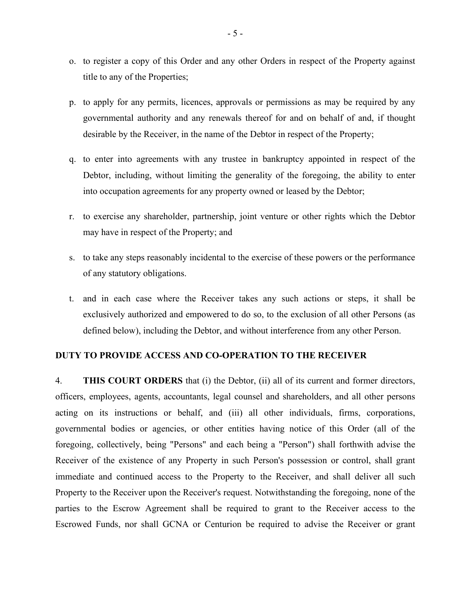- o. to register a copy of this Order and any other Orders in respect of the Property against title to any of the Properties;
- p. to apply for any permits, licences, approvals or permissions as may be required by any governmental authority and any renewals thereof for and on behalf of and, if thought desirable by the Receiver, in the name of the Debtor in respect of the Property;
- q. to enter into agreements with any trustee in bankruptcy appointed in respect of the Debtor, including, without limiting the generality of the foregoing, the ability to enter into occupation agreements for any property owned or leased by the Debtor;
- r. to exercise any shareholder, partnership, joint venture or other rights which the Debtor may have in respect of the Property; and
- s. to take any steps reasonably incidental to the exercise of these powers or the performance of any statutory obligations.
- t. and in each case where the Receiver takes any such actions or steps, it shall be exclusively authorized and empowered to do so, to the exclusion of all other Persons (as defined below), including the Debtor, and without interference from any other Person.

# **DUTY TO PROVIDE ACCESS AND CO-OPERATION TO THE RECEIVER**

4. **THIS COURT ORDERS** that (i) the Debtor, (ii) all of its current and former directors, officers, employees, agents, accountants, legal counsel and shareholders, and all other persons acting on its instructions or behalf, and (iii) all other individuals, firms, corporations, governmental bodies or agencies, or other entities having notice of this Order (all of the foregoing, collectively, being "Persons" and each being a "Person") shall forthwith advise the Receiver of the existence of any Property in such Person's possession or control, shall grant immediate and continued access to the Property to the Receiver, and shall deliver all such Property to the Receiver upon the Receiver's request. Notwithstanding the foregoing, none of the parties to the Escrow Agreement shall be required to grant to the Receiver access to the Escrowed Funds, nor shall GCNA or Centurion be required to advise the Receiver or grant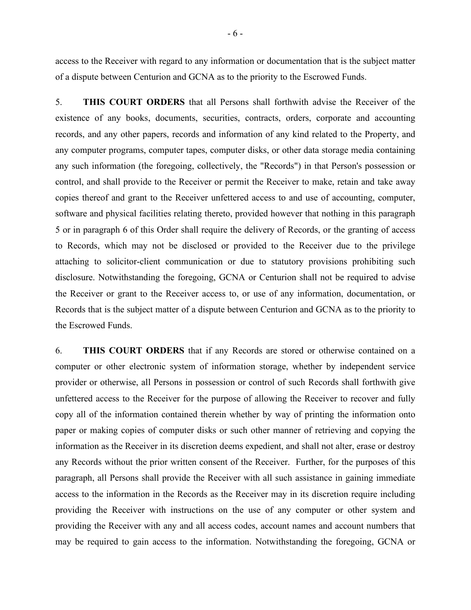access to the Receiver with regard to any information or documentation that is the subject matter of a dispute between Centurion and GCNA as to the priority to the Escrowed Funds.

5. **THIS COURT ORDERS** that all Persons shall forthwith advise the Receiver of the existence of any books, documents, securities, contracts, orders, corporate and accounting records, and any other papers, records and information of any kind related to the Property, and any computer programs, computer tapes, computer disks, or other data storage media containing any such information (the foregoing, collectively, the "Records") in that Person's possession or control, and shall provide to the Receiver or permit the Receiver to make, retain and take away copies thereof and grant to the Receiver unfettered access to and use of accounting, computer, software and physical facilities relating thereto, provided however that nothing in this paragraph 5 or in paragraph 6 of this Order shall require the delivery of Records, or the granting of access to Records, which may not be disclosed or provided to the Receiver due to the privilege attaching to solicitor-client communication or due to statutory provisions prohibiting such disclosure. Notwithstanding the foregoing, GCNA or Centurion shall not be required to advise the Receiver or grant to the Receiver access to, or use of any information, documentation, or Records that is the subject matter of a dispute between Centurion and GCNA as to the priority to the Escrowed Funds.

6. **THIS COURT ORDERS** that if any Records are stored or otherwise contained on a computer or other electronic system of information storage, whether by independent service provider or otherwise, all Persons in possession or control of such Records shall forthwith give unfettered access to the Receiver for the purpose of allowing the Receiver to recover and fully copy all of the information contained therein whether by way of printing the information onto paper or making copies of computer disks or such other manner of retrieving and copying the information as the Receiver in its discretion deems expedient, and shall not alter, erase or destroy any Records without the prior written consent of the Receiver. Further, for the purposes of this paragraph, all Persons shall provide the Receiver with all such assistance in gaining immediate access to the information in the Records as the Receiver may in its discretion require including providing the Receiver with instructions on the use of any computer or other system and providing the Receiver with any and all access codes, account names and account numbers that may be required to gain access to the information. Notwithstanding the foregoing, GCNA or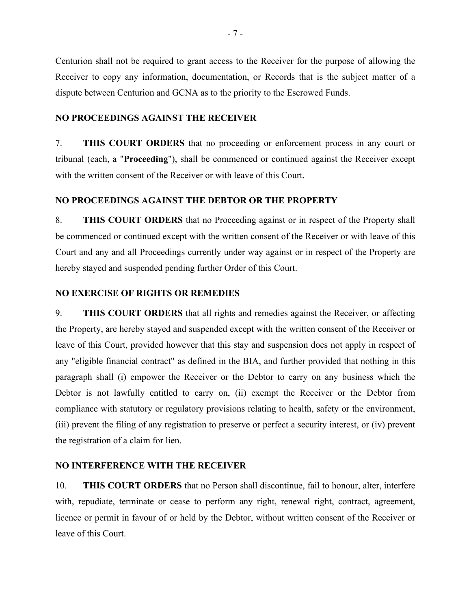Centurion shall not be required to grant access to the Receiver for the purpose of allowing the Receiver to copy any information, documentation, or Records that is the subject matter of a dispute between Centurion and GCNA as to the priority to the Escrowed Funds.

## **NO PROCEEDINGS AGAINST THE RECEIVER**

7. **THIS COURT ORDERS** that no proceeding or enforcement process in any court or tribunal (each, a "**Proceeding**"), shall be commenced or continued against the Receiver except with the written consent of the Receiver or with leave of this Court.

# **NO PROCEEDINGS AGAINST THE DEBTOR OR THE PROPERTY**

8. **THIS COURT ORDERS** that no Proceeding against or in respect of the Property shall be commenced or continued except with the written consent of the Receiver or with leave of this Court and any and all Proceedings currently under way against or in respect of the Property are hereby stayed and suspended pending further Order of this Court.

# **NO EXERCISE OF RIGHTS OR REMEDIES**

9. **THIS COURT ORDERS** that all rights and remedies against the Receiver, or affecting the Property, are hereby stayed and suspended except with the written consent of the Receiver or leave of this Court, provided however that this stay and suspension does not apply in respect of any "eligible financial contract" as defined in the BIA, and further provided that nothing in this paragraph shall (i) empower the Receiver or the Debtor to carry on any business which the Debtor is not lawfully entitled to carry on, (ii) exempt the Receiver or the Debtor from compliance with statutory or regulatory provisions relating to health, safety or the environment, (iii) prevent the filing of any registration to preserve or perfect a security interest, or (iv) prevent the registration of a claim for lien.

# **NO INTERFERENCE WITH THE RECEIVER**

10. **THIS COURT ORDERS** that no Person shall discontinue, fail to honour, alter, interfere with, repudiate, terminate or cease to perform any right, renewal right, contract, agreement, licence or permit in favour of or held by the Debtor, without written consent of the Receiver or leave of this Court.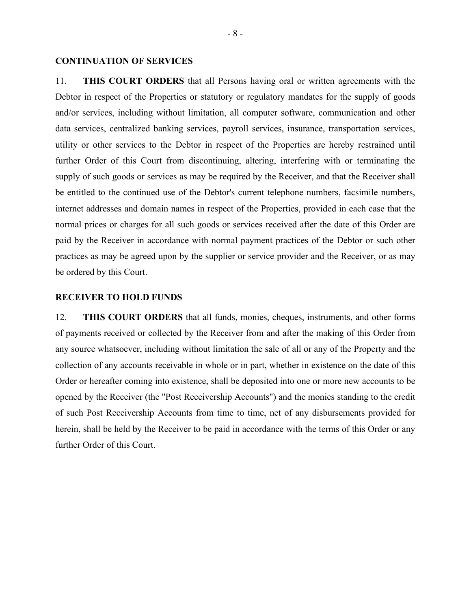## **CONTINUATION OF SERVICES**

11. **THIS COURT ORDERS** that all Persons having oral or written agreements with the Debtor in respect of the Properties or statutory or regulatory mandates for the supply of goods and/or services, including without limitation, all computer software, communication and other data services, centralized banking services, payroll services, insurance, transportation services, utility or other services to the Debtor in respect of the Properties are hereby restrained until further Order of this Court from discontinuing, altering, interfering with or terminating the supply of such goods or services as may be required by the Receiver, and that the Receiver shall be entitled to the continued use of the Debtor's current telephone numbers, facsimile numbers, internet addresses and domain names in respect of the Properties, provided in each case that the normal prices or charges for all such goods or services received after the date of this Order are paid by the Receiver in accordance with normal payment practices of the Debtor or such other practices as may be agreed upon by the supplier or service provider and the Receiver, or as may be ordered by this Court.

# **RECEIVER TO HOLD FUNDS**

12. **THIS COURT ORDERS** that all funds, monies, cheques, instruments, and other forms of payments received or collected by the Receiver from and after the making of this Order from any source whatsoever, including without limitation the sale of all or any of the Property and the collection of any accounts receivable in whole or in part, whether in existence on the date of this Order or hereafter coming into existence, shall be deposited into one or more new accounts to be opened by the Receiver (the "Post Receivership Accounts") and the monies standing to the credit of such Post Receivership Accounts from time to time, net of any disbursements provided for herein, shall be held by the Receiver to be paid in accordance with the terms of this Order or any further Order of this Court.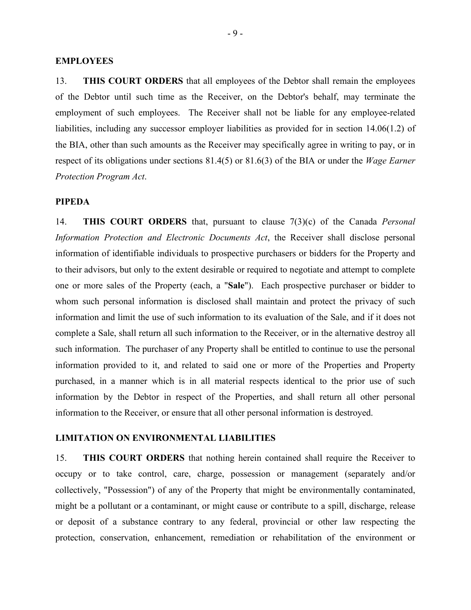#### **EMPLOYEES**

13. **THIS COURT ORDERS** that all employees of the Debtor shall remain the employees of the Debtor until such time as the Receiver, on the Debtor's behalf, may terminate the employment of such employees. The Receiver shall not be liable for any employee-related liabilities, including any successor employer liabilities as provided for in section 14.06(1.2) of the BIA, other than such amounts as the Receiver may specifically agree in writing to pay, or in respect of its obligations under sections 81.4(5) or 81.6(3) of the BIA or under the *Wage Earner Protection Program Act*.

#### **PIPEDA**

14. **THIS COURT ORDERS** that, pursuant to clause 7(3)(c) of the Canada *Personal Information Protection and Electronic Documents Act*, the Receiver shall disclose personal information of identifiable individuals to prospective purchasers or bidders for the Property and to their advisors, but only to the extent desirable or required to negotiate and attempt to complete one or more sales of the Property (each, a "**Sale**"). Each prospective purchaser or bidder to whom such personal information is disclosed shall maintain and protect the privacy of such information and limit the use of such information to its evaluation of the Sale, and if it does not complete a Sale, shall return all such information to the Receiver, or in the alternative destroy all such information. The purchaser of any Property shall be entitled to continue to use the personal information provided to it, and related to said one or more of the Properties and Property purchased, in a manner which is in all material respects identical to the prior use of such information by the Debtor in respect of the Properties, and shall return all other personal information to the Receiver, or ensure that all other personal information is destroyed.

#### **LIMITATION ON ENVIRONMENTAL LIABILITIES**

15. **THIS COURT ORDERS** that nothing herein contained shall require the Receiver to occupy or to take control, care, charge, possession or management (separately and/or collectively, "Possession") of any of the Property that might be environmentally contaminated, might be a pollutant or a contaminant, or might cause or contribute to a spill, discharge, release or deposit of a substance contrary to any federal, provincial or other law respecting the protection, conservation, enhancement, remediation or rehabilitation of the environment or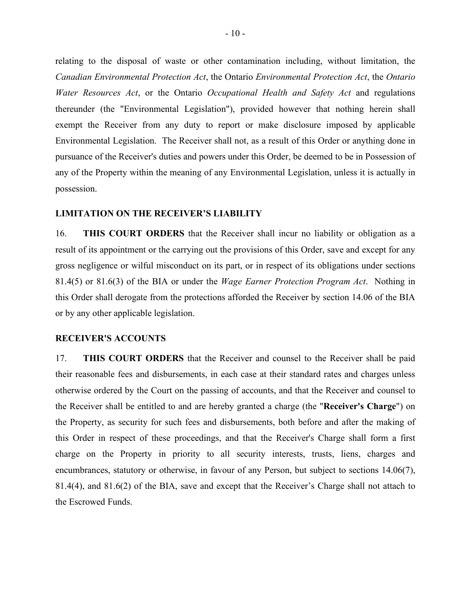relating to the disposal of waste or other contamination including, without limitation, the *Canadian Environmental Protection Act*, the Ontario *Environmental Protection Act*, the *Ontario Water Resources Act*, or the Ontario *Occupational Health and Safety Act* and regulations thereunder (the "Environmental Legislation"), provided however that nothing herein shall exempt the Receiver from any duty to report or make disclosure imposed by applicable Environmental Legislation. The Receiver shall not, as a result of this Order or anything done in pursuance of the Receiver's duties and powers under this Order, be deemed to be in Possession of any of the Property within the meaning of any Environmental Legislation, unless it is actually in possession.

#### **LIMITATION ON THE RECEIVER'S LIABILITY**

16. **THIS COURT ORDERS** that the Receiver shall incur no liability or obligation as a result of its appointment or the carrying out the provisions of this Order, save and except for any gross negligence or wilful misconduct on its part, or in respect of its obligations under sections 81.4(5) or 81.6(3) of the BIA or under the *Wage Earner Protection Program Act*. Nothing in this Order shall derogate from the protections afforded the Receiver by section 14.06 of the BIA or by any other applicable legislation.

#### **RECEIVER'S ACCOUNTS**

17. **THIS COURT ORDERS** that the Receiver and counsel to the Receiver shall be paid their reasonable fees and disbursements, in each case at their standard rates and charges unless otherwise ordered by the Court on the passing of accounts, and that the Receiver and counsel to the Receiver shall be entitled to and are hereby granted a charge (the "**Receiver's Charge**") on the Property, as security for such fees and disbursements, both before and after the making of this Order in respect of these proceedings, and that the Receiver's Charge shall form a first charge on the Property in priority to all security interests, trusts, liens, charges and encumbrances, statutory or otherwise, in favour of any Person, but subject to sections 14.06(7), 81.4(4), and 81.6(2) of the BIA, save and except that the Receiver's Charge shall not attach to the Escrowed Funds.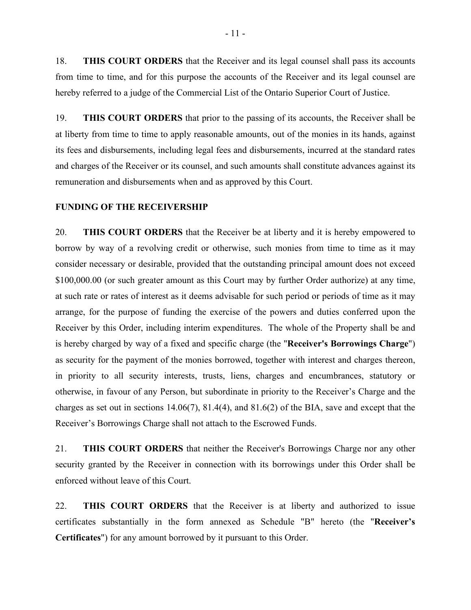18. **THIS COURT ORDERS** that the Receiver and its legal counsel shall pass its accounts from time to time, and for this purpose the accounts of the Receiver and its legal counsel are hereby referred to a judge of the Commercial List of the Ontario Superior Court of Justice.

19. **THIS COURT ORDERS** that prior to the passing of its accounts, the Receiver shall be at liberty from time to time to apply reasonable amounts, out of the monies in its hands, against its fees and disbursements, including legal fees and disbursements, incurred at the standard rates and charges of the Receiver or its counsel, and such amounts shall constitute advances against its remuneration and disbursements when and as approved by this Court.

#### **FUNDING OF THE RECEIVERSHIP**

20. **THIS COURT ORDERS** that the Receiver be at liberty and it is hereby empowered to borrow by way of a revolving credit or otherwise, such monies from time to time as it may consider necessary or desirable, provided that the outstanding principal amount does not exceed \$100,000.00 (or such greater amount as this Court may by further Order authorize) at any time, at such rate or rates of interest as it deems advisable for such period or periods of time as it may arrange, for the purpose of funding the exercise of the powers and duties conferred upon the Receiver by this Order, including interim expenditures. The whole of the Property shall be and is hereby charged by way of a fixed and specific charge (the "**Receiver's Borrowings Charge**") as security for the payment of the monies borrowed, together with interest and charges thereon, in priority to all security interests, trusts, liens, charges and encumbrances, statutory or otherwise, in favour of any Person, but subordinate in priority to the Receiver's Charge and the charges as set out in sections 14.06(7), 81.4(4), and 81.6(2) of the BIA, save and except that the Receiver's Borrowings Charge shall not attach to the Escrowed Funds.

21. **THIS COURT ORDERS** that neither the Receiver's Borrowings Charge nor any other security granted by the Receiver in connection with its borrowings under this Order shall be enforced without leave of this Court.

22. **THIS COURT ORDERS** that the Receiver is at liberty and authorized to issue certificates substantially in the form annexed as Schedule "B" hereto (the "**Receiver's Certificates**") for any amount borrowed by it pursuant to this Order.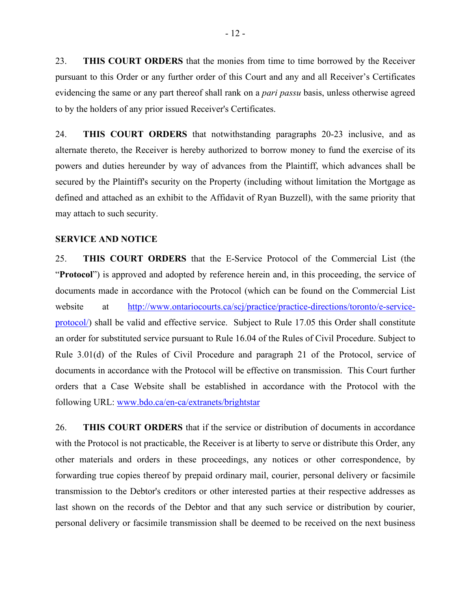23. **THIS COURT ORDERS** that the monies from time to time borrowed by the Receiver pursuant to this Order or any further order of this Court and any and all Receiver's Certificates evidencing the same or any part thereof shall rank on a *pari passu* basis, unless otherwise agreed to by the holders of any prior issued Receiver's Certificates.

24. **THIS COURT ORDERS** that notwithstanding paragraphs 20-23 inclusive, and as alternate thereto, the Receiver is hereby authorized to borrow money to fund the exercise of its powers and duties hereunder by way of advances from the Plaintiff, which advances shall be secured by the Plaintiff's security on the Property (including without limitation the Mortgage as defined and attached as an exhibit to the Affidavit of Ryan Buzzell), with the same priority that may attach to such security.

# **SERVICE AND NOTICE**

25. **THIS COURT ORDERS** that the E-Service Protocol of the Commercial List (the "**Protocol**") is approved and adopted by reference herein and, in this proceeding, the service of documents made in accordance with the Protocol (which can be found on the Commercial List website at http://www.ontariocourts.ca/scj/practice-practice-directions/toronto/e-service[protocol/\)](http://www.ontariocourts.ca/scj/practice/practice-directions/toronto/e-service-protocol/) shall be valid and effective service. Subject to Rule 17.05 this Order shall constitute an order for substituted service pursuant to Rule 16.04 of the Rules of Civil Procedure. Subject to Rule 3.01(d) of the Rules of Civil Procedure and paragraph 21 of the Protocol, service of documents in accordance with the Protocol will be effective on transmission. This Court further orders that a Case Website shall be established in accordance with the Protocol with the following URL: [www.bdo.ca/en-ca/extranets/brightstar](http://www.bdo.ca/en-ca/extranets/brightstar)

26. **THIS COURT ORDERS** that if the service or distribution of documents in accordance with the Protocol is not practicable, the Receiver is at liberty to serve or distribute this Order, any other materials and orders in these proceedings, any notices or other correspondence, by forwarding true copies thereof by prepaid ordinary mail, courier, personal delivery or facsimile transmission to the Debtor's creditors or other interested parties at their respective addresses as last shown on the records of the Debtor and that any such service or distribution by courier, personal delivery or facsimile transmission shall be deemed to be received on the next business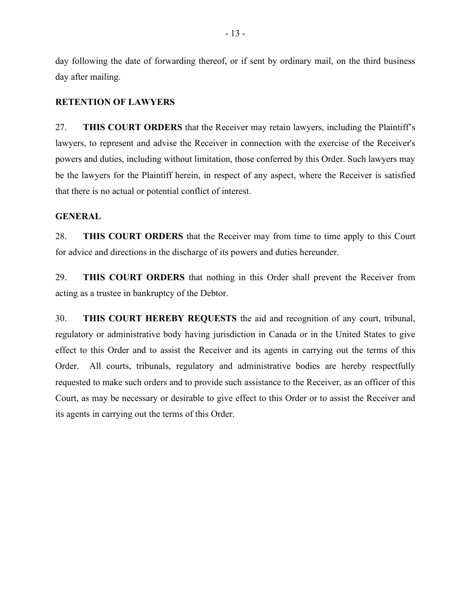day following the date of forwarding thereof, or if sent by ordinary mail, on the third business day after mailing.

# **RETENTION OF LAWYERS**

27. **THIS COURT ORDERS** that the Receiver may retain lawyers, including the Plaintiff's lawyers, to represent and advise the Receiver in connection with the exercise of the Receiver's powers and duties, including without limitation, those conferred by this Order. Such lawyers may be the lawyers for the Plaintiff herein, in respect of any aspect, where the Receiver is satisfied that there is no actual or potential conflict of interest.

# **GENERAL**

28. **THIS COURT ORDERS** that the Receiver may from time to time apply to this Court for advice and directions in the discharge of its powers and duties hereunder.

29. **THIS COURT ORDERS** that nothing in this Order shall prevent the Receiver from acting as a trustee in bankruptcy of the Debtor.

30. **THIS COURT HEREBY REQUESTS** the aid and recognition of any court, tribunal, regulatory or administrative body having jurisdiction in Canada or in the United States to give effect to this Order and to assist the Receiver and its agents in carrying out the terms of this Order. All courts, tribunals, regulatory and administrative bodies are hereby respectfully requested to make such orders and to provide such assistance to the Receiver, as an officer of this Court, as may be necessary or desirable to give effect to this Order or to assist the Receiver and its agents in carrying out the terms of this Order.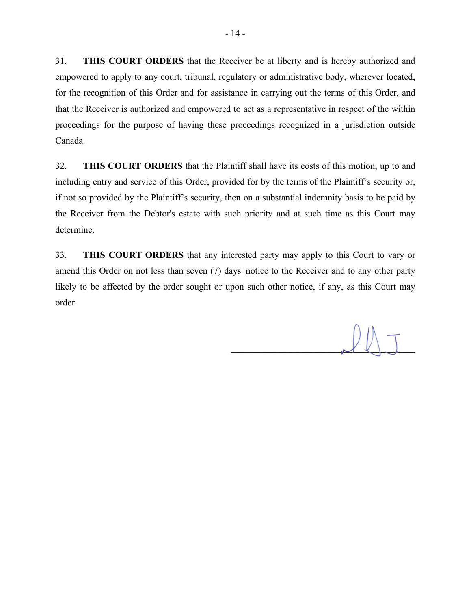31. **THIS COURT ORDERS** that the Receiver be at liberty and is hereby authorized and empowered to apply to any court, tribunal, regulatory or administrative body, wherever located, for the recognition of this Order and for assistance in carrying out the terms of this Order, and that the Receiver is authorized and empowered to act as a representative in respect of the within proceedings for the purpose of having these proceedings recognized in a jurisdiction outside Canada.

32. **THIS COURT ORDERS** that the Plaintiff shall have its costs of this motion, up to and including entry and service of this Order, provided for by the terms of the Plaintiff's security or, if not so provided by the Plaintiff's security, then on a substantial indemnity basis to be paid by the Receiver from the Debtor's estate with such priority and at such time as this Court may determine.

33. **THIS COURT ORDERS** that any interested party may apply to this Court to vary or amend this Order on not less than seven (7) days' notice to the Receiver and to any other party likely to be affected by the order sought or upon such other notice, if any, as this Court may order.

 $\sim$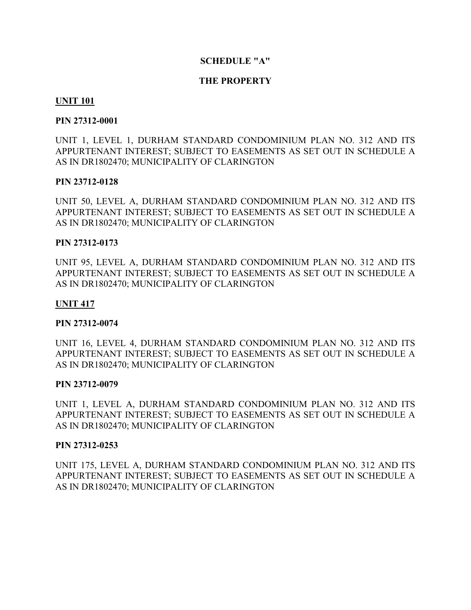# **SCHEDULE "A"**

# **THE PROPERTY**

# **UNIT 101**

## **PIN 27312-0001**

UNIT 1, LEVEL 1, DURHAM STANDARD CONDOMINIUM PLAN NO. 312 AND ITS APPURTENANT INTEREST; SUBJECT TO EASEMENTS AS SET OUT IN SCHEDULE A AS IN DR1802470; MUNICIPALITY OF CLARINGTON

## **PIN 23712-0128**

UNIT 50, LEVEL A, DURHAM STANDARD CONDOMINIUM PLAN NO. 312 AND ITS APPURTENANT INTEREST; SUBJECT TO EASEMENTS AS SET OUT IN SCHEDULE A AS IN DR1802470; MUNICIPALITY OF CLARINGTON

# **PIN 27312-0173**

UNIT 95, LEVEL A, DURHAM STANDARD CONDOMINIUM PLAN NO. 312 AND ITS APPURTENANT INTEREST; SUBJECT TO EASEMENTS AS SET OUT IN SCHEDULE A AS IN DR1802470; MUNICIPALITY OF CLARINGTON

# **UNIT 417**

## **PIN 27312-0074**

UNIT 16, LEVEL 4, DURHAM STANDARD CONDOMINIUM PLAN NO. 312 AND ITS APPURTENANT INTEREST; SUBJECT TO EASEMENTS AS SET OUT IN SCHEDULE A AS IN DR1802470; MUNICIPALITY OF CLARINGTON

## **PIN 23712-0079**

UNIT 1, LEVEL A, DURHAM STANDARD CONDOMINIUM PLAN NO. 312 AND ITS APPURTENANT INTEREST; SUBJECT TO EASEMENTS AS SET OUT IN SCHEDULE A AS IN DR1802470; MUNICIPALITY OF CLARINGTON

## **PIN 27312-0253**

UNIT 175, LEVEL A, DURHAM STANDARD CONDOMINIUM PLAN NO. 312 AND ITS APPURTENANT INTEREST; SUBJECT TO EASEMENTS AS SET OUT IN SCHEDULE A AS IN DR1802470; MUNICIPALITY OF CLARINGTON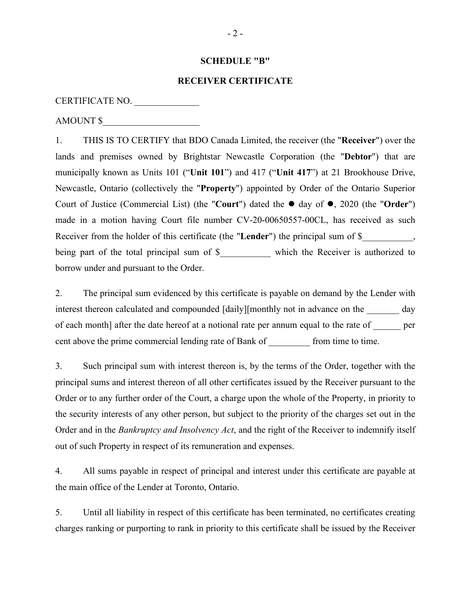#### **SCHEDULE "B"**

## **RECEIVER CERTIFICATE**

# CERTIFICATE NO.

# AMOUNT \$

1. THIS IS TO CERTIFY that BDO Canada Limited, the receiver (the "**Receiver**") over the lands and premises owned by Brightstar Newcastle Corporation (the "**Debtor**") that are municipally known as Units 101 ("**Unit 101**") and 417 ("**Unit 417**") at 21 Brookhouse Drive, Newcastle, Ontario (collectively the "**Property**") appointed by Order of the Ontario Superior Court of Justice (Commercial List) (the "**Court**") dated the  $\bullet$  day of  $\bullet$ , 2020 (the "**Order**") made in a motion having Court file number CV-20-00650557-00CL, has received as such Receiver from the holder of this certificate (the "Lender") the principal sum of \$ being part of the total principal sum of \$\_\_\_\_\_\_\_\_\_\_\_\_ which the Receiver is authorized to borrow under and pursuant to the Order.

2. The principal sum evidenced by this certificate is payable on demand by the Lender with interest thereon calculated and compounded [daily][monthly not in advance on the \_\_\_\_\_\_\_ day of each month] after the date hereof at a notional rate per annum equal to the rate of \_\_\_\_\_\_ per cent above the prime commercial lending rate of Bank of \_\_\_\_\_\_\_\_\_ from time to time.

3. Such principal sum with interest thereon is, by the terms of the Order, together with the principal sums and interest thereon of all other certificates issued by the Receiver pursuant to the Order or to any further order of the Court, a charge upon the whole of the Property, in priority to the security interests of any other person, but subject to the priority of the charges set out in the Order and in the *Bankruptcy and Insolvency Act*, and the right of the Receiver to indemnify itself out of such Property in respect of its remuneration and expenses.

4. All sums payable in respect of principal and interest under this certificate are payable at the main office of the Lender at Toronto, Ontario.

5. Until all liability in respect of this certificate has been terminated, no certificates creating charges ranking or purporting to rank in priority to this certificate shall be issued by the Receiver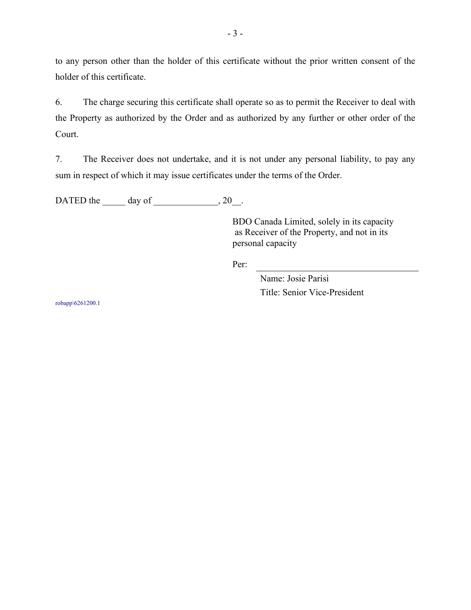to any person other than the holder of this certificate without the prior written consent of the holder of this certificate.

6. The charge securing this certificate shall operate so as to permit the Receiver to deal with the Property as authorized by the Order and as authorized by any further or other order of the Court.

7. The Receiver does not undertake, and it is not under any personal liability, to pay any sum in respect of which it may issue certificates under the terms of the Order.

DATED the day of 3.20.

BDO Canada Limited, solely in its capacity as Receiver of the Property, and not in its personal capacity

Per:

Name: Josie Parisi Title: Senior Vice-President

robapp\6261200.1